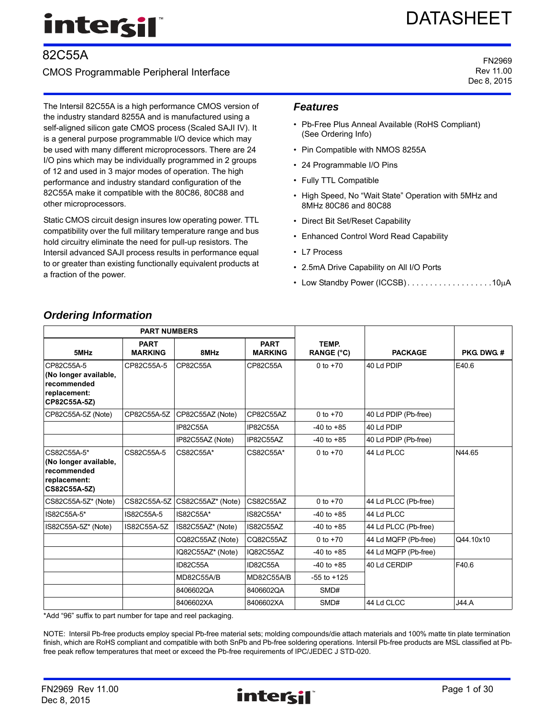# intersi

# 82C55A

# CMOS Programmable Peripheral Interface

The Intersil 82C55A is a high performance CMOS version of the industry standard 8255A and is manufactured using a self-aligned silicon gate CMOS process (Scaled SAJI IV). It is a general purpose programmable I/O device which may be used with many different microprocessors. There are 24 I/O pins which may be individually programmed in 2 groups of 12 and used in 3 major modes of operation. The high performance and industry standard configuration of the 82C55A make it compatible with the 80C86, 80C88 and other microprocessors.

Static CMOS circuit design insures low operating power. TTL compatibility over the full military temperature range and bus hold circuitry eliminate the need for pull-up resistors. The Intersil advanced SAJI process results in performance equal to or greater than existing functionally equivalent products at a fraction of the power.

# *Features*

- Pb-Free Plus Anneal Available (RoHS Compliant) (See Ordering Info)
- Pin Compatible with NMOS 8255A
- 24 Programmable I/O Pins
- Fully TTL Compatible
- High Speed, No "Wait State" Operation with 5MHz and 8MHz 80C86 and 80C88
- Direct Bit Set/Reset Capability
- Enhanced Control Word Read Capability
- L7 Process
- 2.5mA Drive Capability on All I/O Ports
- Low Standby Power (ICCSB)....................10µA

| <b>PART NUMBERS</b>                                                                 |                               |                   |                               |                            |                      |                  |  |
|-------------------------------------------------------------------------------------|-------------------------------|-------------------|-------------------------------|----------------------------|----------------------|------------------|--|
| 5MHz                                                                                | <b>PART</b><br><b>MARKING</b> | 8MHz              | <b>PART</b><br><b>MARKING</b> | TEMP.<br><b>RANGE (°C)</b> | <b>PACKAGE</b>       | <b>PKG DWG #</b> |  |
| CP82C55A-5<br>(No longer available,<br>recommended<br>replacement:<br>CP82C55A-5Z)  | CP82C55A-5                    |                   | CP82C55A                      | 0 to $+70$                 | 40 Ld PDIP           | E40.6            |  |
| CP82C55A-5Z (Note)                                                                  | CP82C55A-5Z                   | CP82C55AZ (Note)  | CP82C55AZ                     | 0 to $+70$                 | 40 Ld PDIP (Pb-free) |                  |  |
|                                                                                     |                               | <b>IP82C55A</b>   | <b>IP82C55A</b>               | $-40$ to $+85$             | 40 Ld PDIP           |                  |  |
|                                                                                     |                               | IP82C55AZ (Note)  | IP82C55AZ                     | $-40$ to $+85$             | 40 Ld PDIP (Pb-free) |                  |  |
| CS82C55A-5*<br>(No longer available,<br>recommended<br>replacement:<br>CS82C55A-5Z) | CS82C55A-5                    | CS82C55A*         | CS82C55A*                     | 0 to $+70$                 | 44 Ld PLCC           | N44.65           |  |
| CS82C55A-5Z* (Note)                                                                 | CS82C55A-5Z                   | CS82C55AZ* (Note) | <b>CS82C55AZ</b>              | 0 to $+70$                 | 44 Ld PLCC (Pb-free) |                  |  |
| IS82C55A-5*                                                                         | IS82C55A-5                    | IS82C55A*         | IS82C55A*                     | $-40$ to $+85$             | 44 Ld PLCC           |                  |  |
| IS82C55A-5Z* (Note)                                                                 | IS82C55A-5Z                   | IS82C55AZ* (Note) | IS82C55AZ                     | $-40$ to $+85$             | 44 Ld PLCC (Pb-free) |                  |  |
|                                                                                     |                               | CQ82C55AZ (Note)  | CQ82C55AZ                     | 0 to $+70$                 | 44 Ld MQFP (Pb-free) | Q44.10x10        |  |
|                                                                                     |                               | IQ82C55AZ* (Note) | IQ82C55AZ                     | $-40$ to $+85$             | 44 Ld MQFP (Pb-free) |                  |  |
|                                                                                     |                               | ID82C55A          | ID82C55A                      | $-40$ to $+85$             | 40 Ld CERDIP         | F40.6            |  |
|                                                                                     |                               | <b>MD82C55A/B</b> | <b>MD82C55A/B</b>             | $-55$ to $+125$            |                      |                  |  |
|                                                                                     |                               | 8406602QA         | 8406602QA                     | SMD#                       |                      |                  |  |
|                                                                                     |                               | 8406602XA         | 8406602XA                     | SMD#                       | 44 Ld CLCC           | <b>J44.A</b>     |  |

<span id="page-0-0"></span>*Ordering Information*

\*Add "96" suffix to part number for tape and reel packaging.

NOTE: Intersil Pb-free products employ special Pb-free material sets; molding compounds/die attach materials and 100% matte tin plate termination finish, which are RoHS compliant and compatible with both SnPb and Pb-free soldering operations. Intersil Pb-free products are MSL classified at Pbfree peak reflow temperatures that meet or exceed the Pb-free requirements of IPC/JEDEC J STD-020.

DATASHEET

FN2969 Rev 11.00 Dec 8, 2015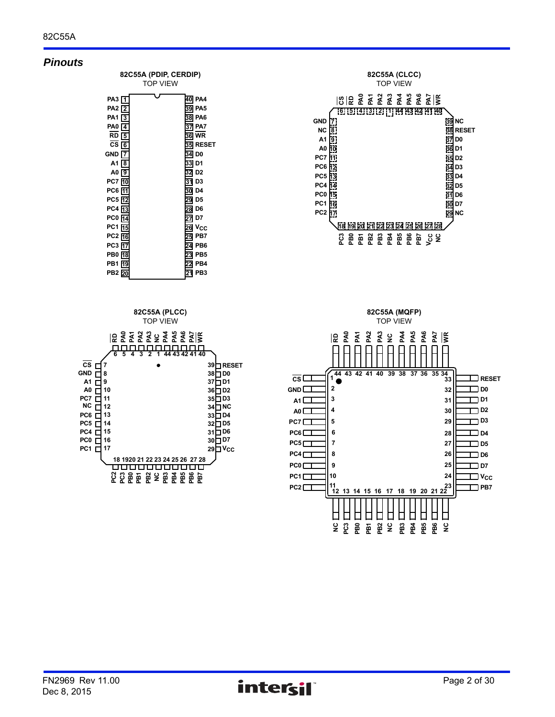# *Pinouts*

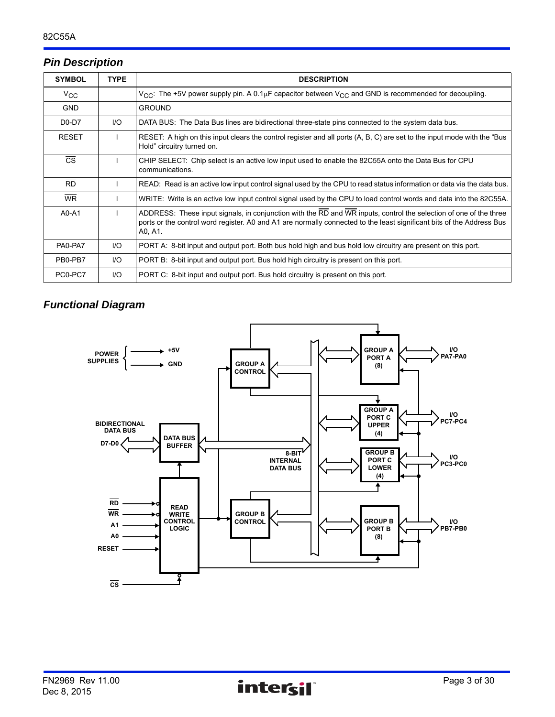# *Pin Description*

| <b>SYMBOL</b>          | <b>TYPE</b> | <b>DESCRIPTION</b>                                                                                                                                                                                                                                    |
|------------------------|-------------|-------------------------------------------------------------------------------------------------------------------------------------------------------------------------------------------------------------------------------------------------------|
| $V_{\rm CC}$           |             | $V_{CC}$ : The +5V power supply pin. A 0.1 $\mu$ F capacitor between $V_{CC}$ and GND is recommended for decoupling.                                                                                                                                  |
| <b>GND</b>             |             | <b>GROUND</b>                                                                                                                                                                                                                                         |
| D0-D7                  | I/O         | DATA BUS: The Data Bus lines are bidirectional three-state pins connected to the system data bus.                                                                                                                                                     |
| <b>RESET</b>           |             | RESET: A high on this input clears the control register and all ports (A, B, C) are set to the input mode with the "Bus"<br>Hold" circuitry turned on.                                                                                                |
| $\overline{\text{CS}}$ |             | CHIP SELECT: Chip select is an active low input used to enable the 82C55A onto the Data Bus for CPU<br>communications.                                                                                                                                |
| $\overline{RD}$        |             | READ: Read is an active low input control signal used by the CPU to read status information or data via the data bus.                                                                                                                                 |
| <b>WR</b>              |             | WRITE: Write is an active low input control signal used by the CPU to load control words and data into the 82C55A.                                                                                                                                    |
| $A0 - A1$              |             | ADDRESS: These input signals, in conjunction with the RD and WR inputs, control the selection of one of the three<br>ports or the control word register. A0 and A1 are normally connected to the least significant bits of the Address Bus<br>A0, A1. |
| PA0-PA7                | 1/O         | PORT A: 8-bit input and output port. Both bus hold high and bus hold low circuitry are present on this port.                                                                                                                                          |
| PB0-PB7                | I/O         | PORT B: 8-bit input and output port. Bus hold high circuitry is present on this port.                                                                                                                                                                 |
| PC0-PC7                | I/O         | PORT C: 8-bit input and output port. Bus hold circuitry is present on this port.                                                                                                                                                                      |

# *Functional Diagram*

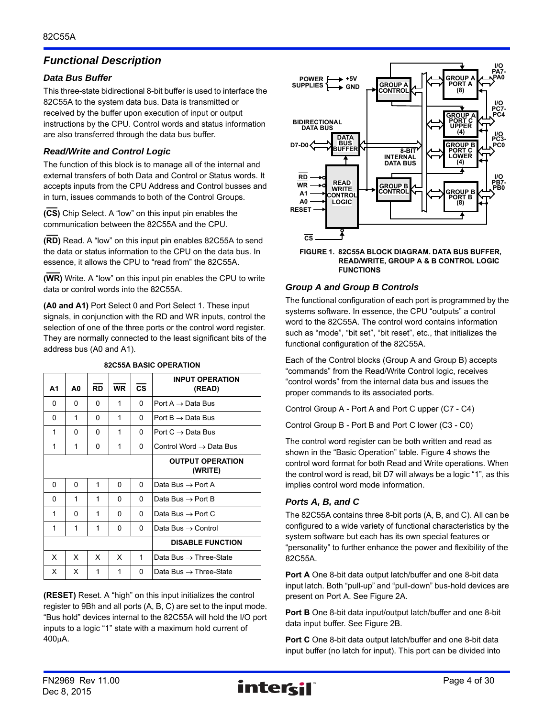# *Functional Description*

# *Data Bus Buffer*

This three-state bidirectional 8-bit buffer is used to interface the 82C55A to the system data bus. Data is transmitted or received by the buffer upon execution of input or output instructions by the CPU. Control words and status information are also transferred through the data bus buffer.

# *Read/Write and Control Logic*

The function of this block is to manage all of the internal and external transfers of both Data and Control or Status words. It accepts inputs from the CPU Address and Control busses and in turn, issues commands to both of the Control Groups.

**(CS)** Chip Select. A "low" on this input pin enables the communication between the 82C55A and the CPU.

**(RD)** Read. A "low" on this input pin enables 82C55A to send the data or status information to the CPU on the data bus. In essence, it allows the CPU to "read from" the 82C55A.

**(WR)** Write. A "low" on this input pin enables the CPU to write data or control words into the 82C55A.

**(A0 and A1)** Port Select 0 and Port Select 1. These input signals, in conjunction with the RD and WR inputs, control the selection of one of the three ports or the control word register. They are normally connected to the least significant bits of the address bus (A0 and A1).

| Α1       | A0       | <b>RD</b> | <b>WR</b> | <b>CS</b> | <b>INPUT OPERATION</b><br>(READ)    |
|----------|----------|-----------|-----------|-----------|-------------------------------------|
| $\Omega$ | $\Omega$ | 0         | 1         | 0         | Port A $\rightarrow$ Data Bus       |
| 0        | 1        | 0         | 1         | 0         | Port $B \rightarrow$ Data Bus       |
| 1        | 0        | 0         | 1         | 0         | Port $C \rightarrow$ Data Bus       |
| 1        | 1        | 0         | 1         | 0         | Control Word $\rightarrow$ Data Bus |
|          |          |           |           |           | <b>OUTPUT OPERATION</b><br>(WRITE)  |
| 0        | 0        | 1         | 0         | 0         | Data Bus $\rightarrow$ Port A       |
| 0        | 1        | 1         | 0         | 0         | Data Bus $\rightarrow$ Port B       |
| 1        | 0        | 1         | 0         | 0         | Data Bus $\rightarrow$ Port C       |
| 1        | 1        | 1         | 0         | 0         | Data Bus $\rightarrow$ Control      |
|          |          |           |           |           | <b>DISABLE FUNCTION</b>             |
| x        | x        | X         | x         | 1         | Data Bus $\rightarrow$ Three-State  |
| X        | x        | 1         | 1         | 0         | Data Bus $\rightarrow$ Three-State  |

**82C55A BASIC OPERATION**

**(RESET)** Reset. A "high" on this input initializes the control register to 9Bh and all ports (A, B, C) are set to the input mode. "Bus hold" devices internal to the 82C55A will hold the I/O port inputs to a logic "1" state with a maximum hold current of 400A.



#### **FIGURE 1. 82C55A BLOCK DIAGRAM. DATA BUS BUFFER, READ/WRITE, GROUP A & B CONTROL LOGIC FUNCTIONS**

# *Group A and Group B Controls*

The functional configuration of each port is programmed by the systems software. In essence, the CPU "outputs" a control word to the 82C55A. The control word contains information such as "mode", "bit set", "bit reset", etc., that initializes the functional configuration of the 82C55A.

Each of the Control blocks (Group A and Group B) accepts "commands" from the Read/Write Control logic, receives "control words" from the internal data bus and issues the proper commands to its associated ports.

Control Group A - Port A and Port C upper (C7 - C4)

Control Group B - Port B and Port C lower (C3 - C0)

The control word register can be both written and read as shown in the "Basic Operation" table. Figure 4 shows the control word format for both Read and Write operations. When the control word is read, bit D7 will always be a logic "1", as this implies control word mode information.

# *Ports A, B, and C*

The 82C55A contains three 8-bit ports (A, B, and C). All can be configured to a wide variety of functional characteristics by the system software but each has its own special features or "personality" to further enhance the power and flexibility of the 82C55A.

**Port A** One 8-bit data output latch/buffer and one 8-bit data input latch. Both "pull-up" and "pull-down" bus-hold devices are present on Port A. See Figure 2A.

**Port B** One 8-bit data input/output latch/buffer and one 8-bit data input buffer. See Figure 2B.

**Port C** One 8-bit data output latch/buffer and one 8-bit data input buffer (no latch for input). This port can be divided into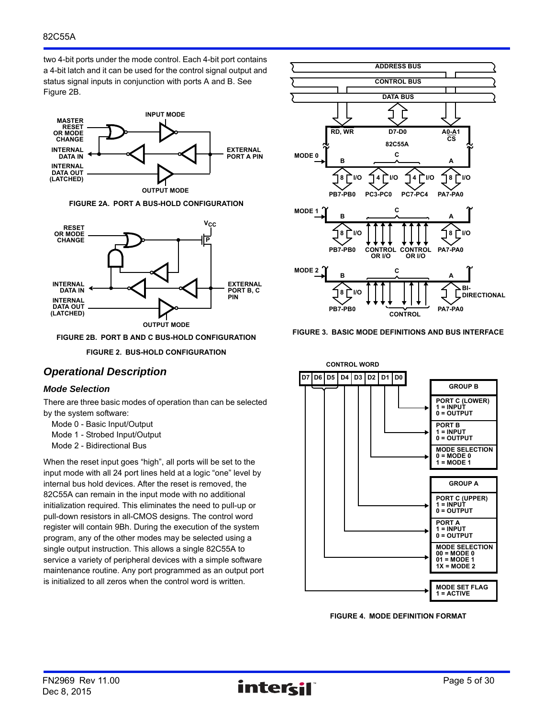two 4-bit ports under the mode control. Each 4-bit port contains a 4-bit latch and it can be used for the control signal output and status signal inputs in conjunction with ports A and B. See Figure 2B.



**FIGURE 2A. PORT A BUS-HOLD CONFIGURATION**



**FIGURE 2B. PORT B AND C BUS-HOLD CONFIGURATION**

**FIGURE 2. BUS-HOLD CONFIGURATION**

# *Operational Description*

#### *Mode Selection*

There are three basic modes of operation than can be selected by the system software:

- Mode 0 Basic Input/Output
- Mode 1 Strobed Input/Output
- Mode 2 Bidirectional Bus

When the reset input goes "high", all ports will be set to the input mode with all 24 port lines held at a logic "one" level by internal bus hold devices. After the reset is removed, the 82C55A can remain in the input mode with no additional initialization required. This eliminates the need to pull-up or pull-down resistors in all-CMOS designs. The control word register will contain 9Bh. During the execution of the system program, any of the other modes may be selected using a single output instruction. This allows a single 82C55A to service a variety of peripheral devices with a simple software maintenance routine. Any port programmed as an output port is initialized to all zeros when the control word is written.



**FIGURE 3. BASIC MODE DEFINITIONS AND BUS INTERFACE**



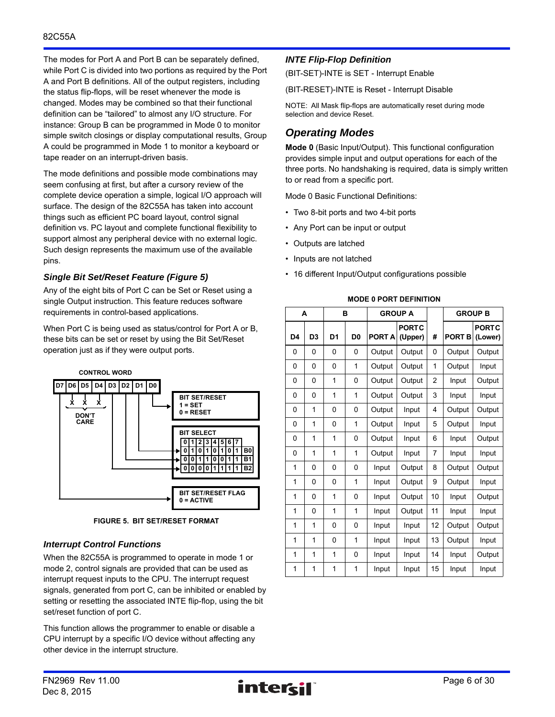The modes for Port A and Port B can be separately defined, while Port C is divided into two portions as required by the Port A and Port B definitions. All of the output registers, including the status flip-flops, will be reset whenever the mode is changed. Modes may be combined so that their functional definition can be "tailored" to almost any I/O structure. For instance: Group B can be programmed in Mode 0 to monitor simple switch closings or display computational results, Group A could be programmed in Mode 1 to monitor a keyboard or tape reader on an interrupt-driven basis.

The mode definitions and possible mode combinations may seem confusing at first, but after a cursory review of the complete device operation a simple, logical I/O approach will surface. The design of the 82C55A has taken into account things such as efficient PC board layout, control signal definition vs. PC layout and complete functional flexibility to support almost any peripheral device with no external logic. Such design represents the maximum use of the available pins.

# *Single Bit Set/Reset Feature (Figure 5)*

Any of the eight bits of Port C can be Set or Reset using a single Output instruction. This feature reduces software requirements in control-based applications.

When Port C is being used as status/control for Port A or B, these bits can be set or reset by using the Bit Set/Reset operation just as if they were output ports.



**FIGURE 5. BIT SET/RESET FORMAT**

# *Interrupt Control Functions*

When the 82C55A is programmed to operate in mode 1 or mode 2, control signals are provided that can be used as interrupt request inputs to the CPU. The interrupt request signals, generated from port C, can be inhibited or enabled by setting or resetting the associated INTE flip-flop, using the bit set/reset function of port C.

This function allows the programmer to enable or disable a CPU interrupt by a specific I/O device without affecting any other device in the interrupt structure.

# *INTE Flip-Flop Definition*

(BIT-SET)-INTE is SET - Interrupt Enable

(BIT-RESET)-INTE is Reset - Interrupt Disable

NOTE: All Mask flip-flops are automatically reset during mode selection and device Reset.

# *Operating Modes*

**Mode 0** (Basic Input/Output). This functional configuration provides simple input and output operations for each of the three ports. No handshaking is required, data is simply written to or read from a specific port.

Mode 0 Basic Functional Definitions:

- Two 8-bit ports and two 4-bit ports
- Any Port can be input or output
- Outputs are latched
- Inputs are not latched
- 16 different Input/Output configurations possible

|    | A              |                | в              | <b>GROUP A</b> |                         |                |               | <b>GROUP B</b>          |
|----|----------------|----------------|----------------|----------------|-------------------------|----------------|---------------|-------------------------|
| D4 | D <sub>3</sub> | D <sub>1</sub> | D <sub>0</sub> | <b>PORTA</b>   | <b>PORTC</b><br>(Upper) | #              | <b>PORT B</b> | <b>PORTC</b><br>(Lower) |
| 0  | 0              | 0              | 0              | Output         | Output                  | 0              | Output        | Output                  |
| 0  | 0              | 0              | 1              | Output         | Output                  | 1              | Output        | Input                   |
| 0  | 0              | 1              | 0              | Output         | Output                  | $\overline{2}$ | Input         | Output                  |
| 0  | 0              | 1              | 1              | Output         | Output                  | 3              | Input         | Input                   |
| 0  | 1              | 0              | 0              | Output         | Input                   | 4              | Output        | Output                  |
| 0  | 1              | 0              | 1              | Output         | Input                   | 5              | Output        | Input                   |
| 0  | 1              | 1              | 0              | Output         | Input                   | 6              | Input         | Output                  |
| 0  | 1              | 1              | 1              | Output         | Input                   | 7              | Input         | Input                   |
| 1  | 0              | 0              | 0              | Input          | Output                  | 8              | Output        | Output                  |
| 1  | 0              | 0              | 1              | Input          | Output                  | 9              | Output        | Input                   |
| 1  | 0              | 1              | 0              | Input          | Output                  | 10             | Input         | Output                  |
| 1  | 0              | 1              | 1              | Input          | Output                  | 11             | Input         | Input                   |
| 1  | 1              | 0              | 0              | Input          | Input                   | 12             | Output        | Output                  |
| 1  | 1              | 0              | 1              | Input          | Input                   | 13             | Output        | Input                   |
| 1  | 1              | 1              | 0              | Input          | Input                   | 14             | Input         | Output                  |
| 1  | 1              | 1              | 1              | Input          | Input                   | 15             | Input         | Input                   |

#### **MODE 0 PORT DEFINITION**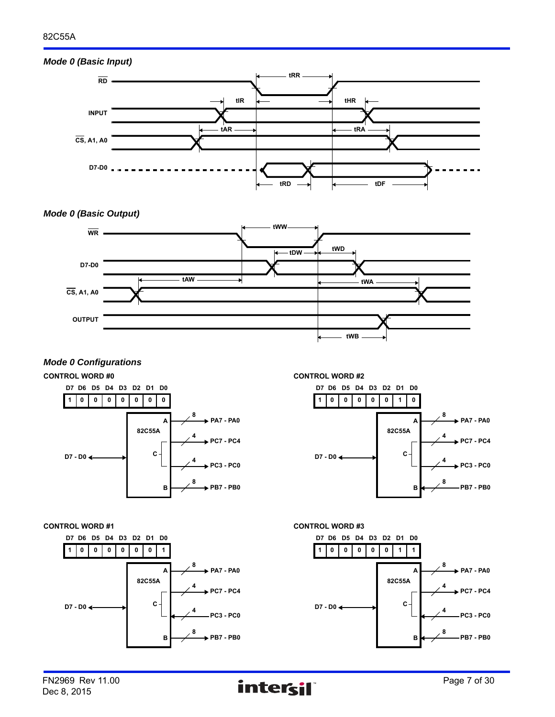# *Mode 0 (Basic Input)*



# *Mode 0 (Basic Output)*



# *Mode 0 Configurations*







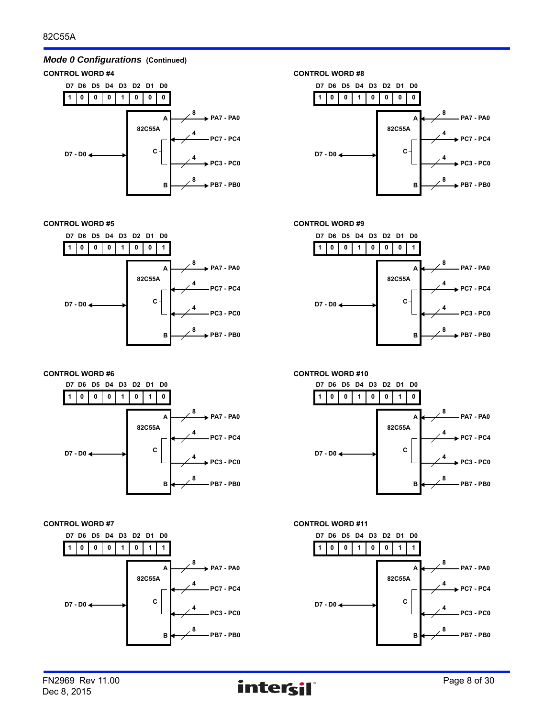# **CONTROL WORD #4 CONTROL WORD #8** *Mode 0 Configurations* **(Continued)**







**CONTROL WORD #5 CONTROL WORD #9**







**CONTROL WORD #6 CONTROL WORD #10**





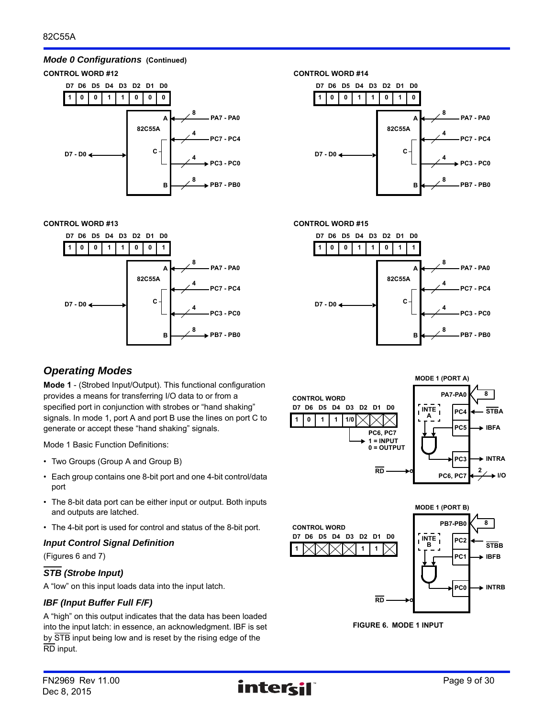# *Mode 0 Configurations* **(Continued)**



**CONTROL WORD #13 CONTROL WORD #15**



#### **1 D7 D6 D5 D4 0 0 1 1 D3 0 D2 D1 1 0 D0 8 PA7 - PA0 4 PC7 - PC4 4 PC3 - PC0 8 PB7 - PB0 D7 - D0 82C55A A B C**



# *Operating Modes*

**Mode 1** - (Strobed Input/Output). This functional configuration provides a means for transferring I/O data to or from a specified port in conjunction with strobes or "hand shaking" signals. In mode 1, port A and port B use the lines on port C to generate or accept these "hand shaking" signals.

Mode 1 Basic Function Definitions:

- Two Groups (Group A and Group B)
- Each group contains one 8-bit port and one 4-bit control/data port
- The 8-bit data port can be either input or output. Both inputs and outputs are latched.
- The 4-bit port is used for control and status of the 8-bit port.

# *Input Control Signal Definition*

(Figures 6 and 7)

# *STB (Strobe Input)*

A "low" on this input loads data into the input latch.

# *IBF (Input Buffer Full F/F)*

A "high" on this output indicates that the data has been loaded into the input latch: in essence, an acknowledgment. IBF is set by STB input being low and is reset by the rising edge of the RD input.





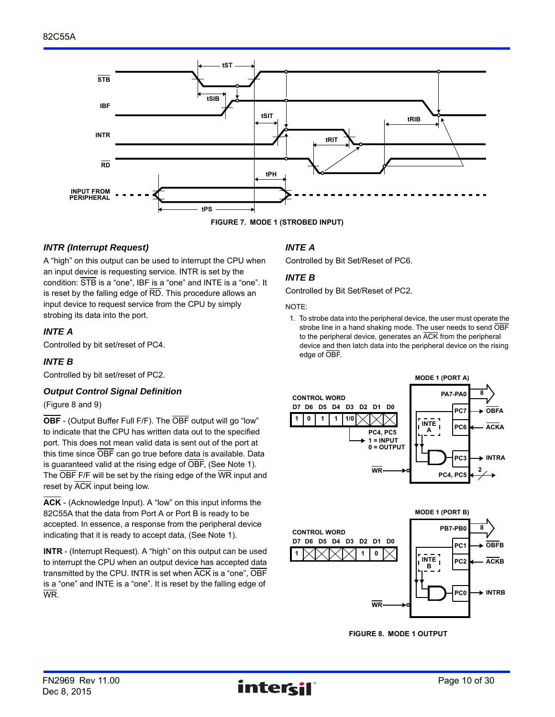

**FIGURE 7. MODE 1 (STROBED INPUT)**

# *INTR (Interrupt Request)*

A "high" on this output can be used to interrupt the CPU when an input device is requesting service. INTR is set by the condition: STB is a "one", IBF is a "one" and INTE is a "one". It is reset by the falling edge of RD. This procedure allows an input device to request service from the CPU by simply strobing its data into the port.

# *INTE A*

Controlled by bit set/reset of PC4.

# *INTE B*

Controlled by bit set/reset of PC2.

# *Output Control Signal Definition*

(Figure 8 and 9)

**OBF** - (Output Buffer Full F/F). The OBF output will go "low" to indicate that the CPU has written data out to the specified port. This does not mean valid data is sent out of the port at this time since OBF can go true before data is available. Data is guaranteed valid at the rising edge of OBF, (See Note 1). The OBF F/F will be set by the rising edge of the WR input and reset by ACK input being low.

**ACK** - (Acknowledge Input). A "low" on this input informs the 82C55A that the data from Port A or Port B is ready to be accepted. In essence, a response from the peripheral device indicating that it is ready to accept data, (See Note 1).

**INTR** - (Interrupt Request). A "high" on this output can be used to interrupt the CPU when an output device has accepted data transmitted by the CPU. INTR is set when ACK is a "one", OBF is a "one" and INTE is a "one". It is reset by the falling edge of WR.

# *INTE A*

Controlled by Bit Set/Reset of PC6.

# *INTE B*

Controlled by Bit Set/Reset of PC2.

#### NOTE:

1. To strobe data into the peripheral device, the user must operate the strobe line in a hand shaking mode. The user needs to send OBF to the peripheral device, generates an ACK from the peripheral device and then latch data into the peripheral device on the rising edge of OBF.





**FIGURE 8. MODE 1 OUTPUT**

**8**

**OBFB**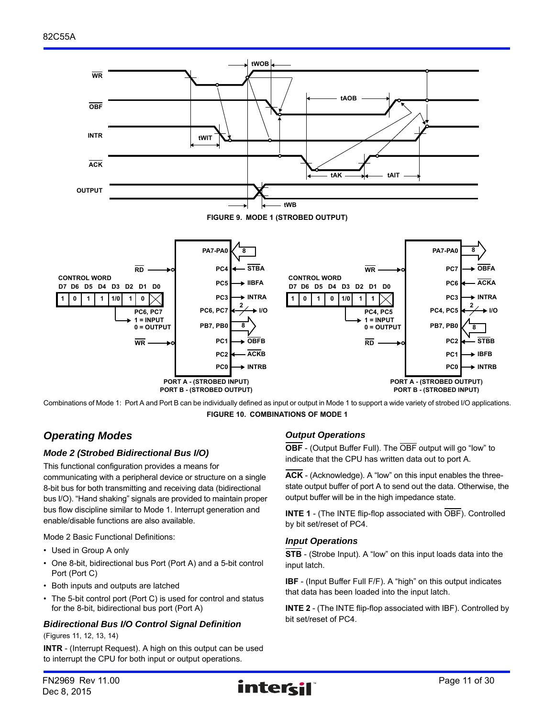

Combinations of Mode 1: Port A and Port B can be individually defined as input or output in Mode 1 to support a wide variety of strobed I/O applications. **FIGURE 10. COMBINATIONS OF MODE 1**

# *Operating Modes*

# *Mode 2 (Strobed Bidirectional Bus I/O)*

This functional configuration provides a means for communicating with a peripheral device or structure on a single 8-bit bus for both transmitting and receiving data (bidirectional bus I/O). "Hand shaking" signals are provided to maintain proper bus flow discipline similar to Mode 1. Interrupt generation and enable/disable functions are also available.

Mode 2 Basic Functional Definitions:

- Used in Group A only
- One 8-bit, bidirectional bus Port (Port A) and a 5-bit control Port (Port C)
- Both inputs and outputs are latched
- The 5-bit control port (Port C) is used for control and status for the 8-bit, bidirectional bus port (Port A)

# *Bidirectional Bus I/O Control Signal Definition*

(Figures 11, 12, 13, 14)

**INTR** - (Interrupt Request). A high on this output can be used to interrupt the CPU for both input or output operations.

# *Output Operations*

**OBF** - (Output Buffer Full). The OBF output will go "low" to indicate that the CPU has written data out to port A.

**ACK** - (Acknowledge). A "low" on this input enables the threestate output buffer of port A to send out the data. Otherwise, the output buffer will be in the high impedance state.

**INTE 1** - (The INTE flip-flop associated with OBF). Controlled by bit set/reset of PC4.

# *Input Operations*

**STB** - (Strobe Input). A "low" on this input loads data into the input latch.

**IBF** - (Input Buffer Full F/F). A "high" on this output indicates that data has been loaded into the input latch.

**INTE 2** - (The INTE flip-flop associated with IBF). Controlled by bit set/reset of PC4.

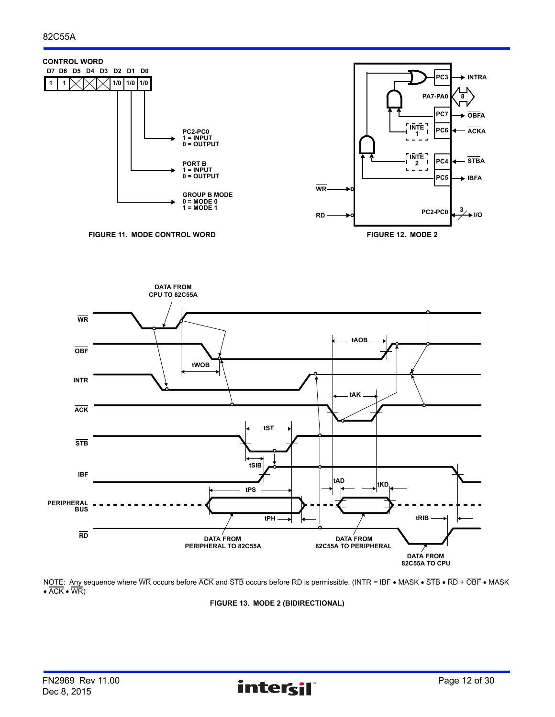





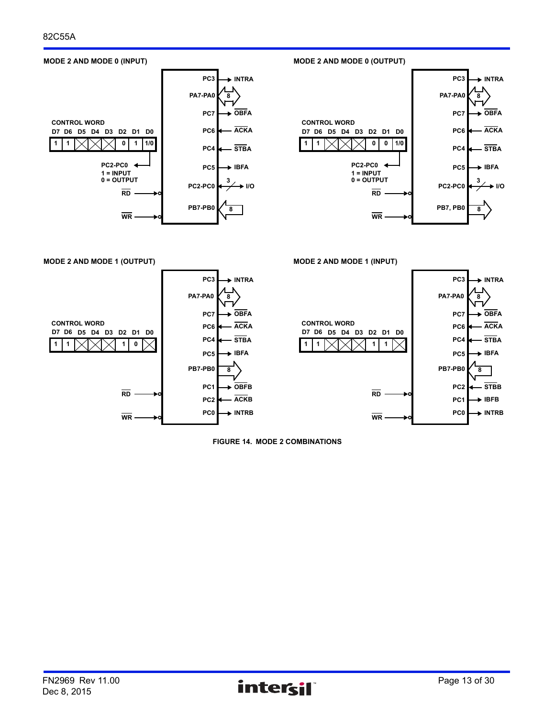

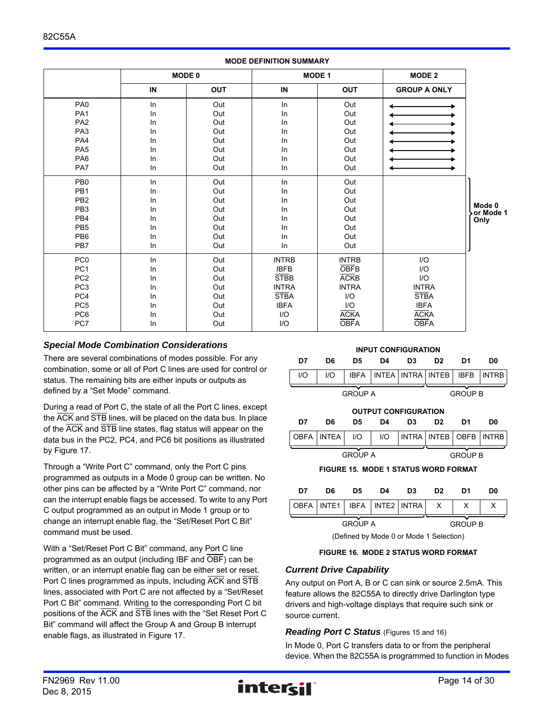|                 |     |               | <b>MODE DEFINITION SUMMARY</b> |               |                         |                     |
|-----------------|-----|---------------|--------------------------------|---------------|-------------------------|---------------------|
|                 |     | <b>MODE 0</b> |                                | <b>MODE 1</b> | <b>MODE 2</b>           |                     |
|                 | IN  | <b>OUT</b>    | IN                             | <b>OUT</b>    | <b>GROUP A ONLY</b>     |                     |
| PA <sub>0</sub> | In  | Out           | In                             | Out           |                         |                     |
| PA <sub>1</sub> | In  | Out           | In                             | Out           |                         |                     |
| PA <sub>2</sub> | In  | Out           | In                             | Out           |                         |                     |
| PA <sub>3</sub> | In  | Out           | In                             | Out           |                         |                     |
| PA <sub>4</sub> | In. | Out           | In                             | Out           |                         |                     |
| PA <sub>5</sub> | In  | Out           | In                             | Out           |                         |                     |
| PA6             | In  | Out           | In                             | Out           |                         |                     |
| PA7             | ln  | Out           | In                             | Out           |                         |                     |
| PB <sub>0</sub> | ln  | Out           | In                             | Out           |                         |                     |
| PB1             | In  | Out           | In                             | Out           |                         |                     |
| PB <sub>2</sub> | In  | Out           | In                             | Out           |                         |                     |
| PB <sub>3</sub> | In  | Out           | In                             | Out           |                         | Mode 0<br>or Mode 1 |
| PB <sub>4</sub> | In  | Out           | In                             | Out           |                         | Only                |
| PB <sub>5</sub> | In  | Out           | In                             | Out           |                         |                     |
| PB <sub>6</sub> | In  | Out           | In                             | Out           |                         |                     |
| PB7             | In  | Out           | In                             | Out           |                         |                     |
| PC <sub>0</sub> | In  | Out           | <b>INTRB</b>                   | <b>INTRB</b>  | $\mathsf{I}/\mathsf{O}$ |                     |
| PC <sub>1</sub> | In  | Out           | <b>IBFB</b>                    | OBFB          | $\mathsf{I}/\mathsf{O}$ |                     |
| PC <sub>2</sub> | In  | Out           | <b>STBB</b>                    | <b>ACKB</b>   | $1/O$                   |                     |
| PC <sub>3</sub> | In  | Out           | <b>INTRA</b>                   | <b>INTRA</b>  | <b>INTRA</b>            |                     |
| PC4             | In  | Out           | <b>STBA</b>                    | I/O           | <b>STBA</b>             |                     |
| PC <sub>5</sub> | In  | Out           | <b>IBFA</b>                    | I/O           | <b>IBFA</b>             |                     |
| PC <sub>6</sub> | In  | Out           | I/O                            | <b>ACKA</b>   | <b>ACKA</b>             |                     |
| PC7             | In  | Out           | $\mathsf{I}/\mathsf{O}$        | <b>OBFA</b>   | <b>OBFA</b>             |                     |
|                 |     |               |                                |               |                         |                     |

# *Special Mode Combination Considerations*

There are several combinations of modes possible. For any combination, some or all of Port C lines are used for control or status. The remaining bits are either inputs or outputs as defined by a "Set Mode" command.

During a read of Port C, the state of all the Port C lines, except the ACK and STB lines, will be placed on the data bus. In place of the ACK and STB line states, flag status will appear on the data bus in the PC2, PC4, and PC6 bit positions as illustrated by Figure 17.

Through a "Write Port C" command, only the Port C pins programmed as outputs in a Mode 0 group can be written. No other pins can be affected by a "Write Port C" command, nor can the interrupt enable flags be accessed. To write to any Port C output programmed as an output in Mode 1 group or to change an interrupt enable flag, the "Set/Reset Port C Bit" command must be used.

With a "Set/Reset Port C Bit" command, any Port C line programmed as an output (including IBF and OBF) can be written, or an interrupt enable flag can be either set or reset. Port C lines programmed as inputs, including ACK and STB lines, associated with Port C are not affected by a "Set/Reset Port C Bit" command. Writing to the corresponding Port C bit positions of the ACK and STB lines with the "Set Reset Port C Bit" command will affect the Group A and Group B interrupt enable flags, as illustrated in Figure 17.



#### **FIGURE 16. MODE 2 STATUS WORD FORMAT**

# *Current Drive Capability*

Any output on Port A, B or C can sink or source 2.5mA. This feature allows the 82C55A to directly drive Darlington type drivers and high-voltage displays that require such sink or source current.

# *Reading Port C Status* (Figures 15 and 16)

In Mode 0, Port C transfers data to or from the peripheral device. When the 82C55A is programmed to function in Modes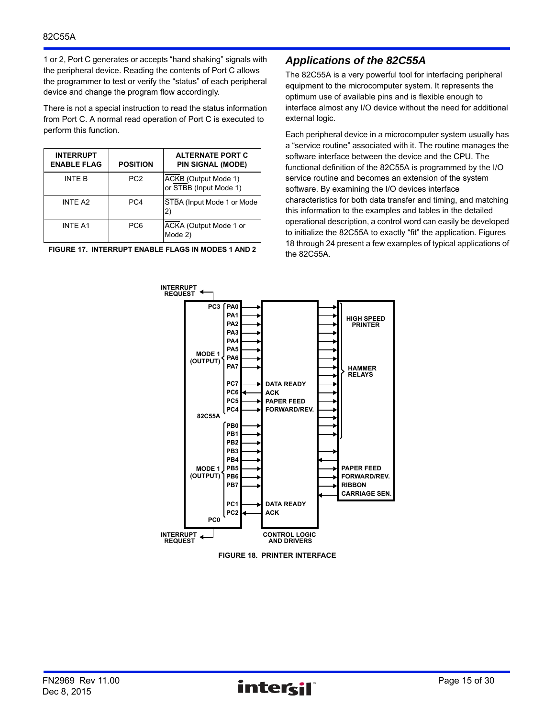1 or 2, Port C generates or accepts "hand shaking" signals with the peripheral device. Reading the contents of Port C allows the programmer to test or verify the "status" of each peripheral device and change the program flow accordingly.

There is not a special instruction to read the status information from Port C. A normal read operation of Port C is executed to perform this function.

| <b>INTERRUPT</b><br><b>ENABLE FLAG</b> | <b>POSITION</b> | <b>ALTERNATE PORT C</b><br><b>PIN SIGNAL (MODE)</b> |
|----------------------------------------|-----------------|-----------------------------------------------------|
| INTF B                                 | PC <sub>2</sub> | ACKB (Output Mode 1)<br>or STBB (Input Mode 1)      |
| <b>INTE A2</b>                         | PC <sub>4</sub> | STBA (Input Mode 1 or Mode<br>2)                    |
| <b>INTE A1</b>                         | PC <sub>6</sub> | ACKA (Output Mode 1 or<br>Mode 2)                   |

**FIGURE 17. INTERRUPT ENABLE FLAGS IN MODES 1 AND 2**

# *Applications of the 82C55A*

The 82C55A is a very powerful tool for interfacing peripheral equipment to the microcomputer system. It represents the optimum use of available pins and is flexible enough to interface almost any I/O device without the need for additional external logic.

Each peripheral device in a microcomputer system usually has a "service routine" associated with it. The routine manages the software interface between the device and the CPU. The functional definition of the 82C55A is programmed by the I/O service routine and becomes an extension of the system software. By examining the I/O devices interface characteristics for both data transfer and timing, and matching this information to the examples and tables in the detailed operational description, a control word can easily be developed to initialize the 82C55A to exactly "fit" the application. Figures 18 through 24 present a few examples of typical applications of the 82C55A.



**FIGURE 18. PRINTER INTERFACE**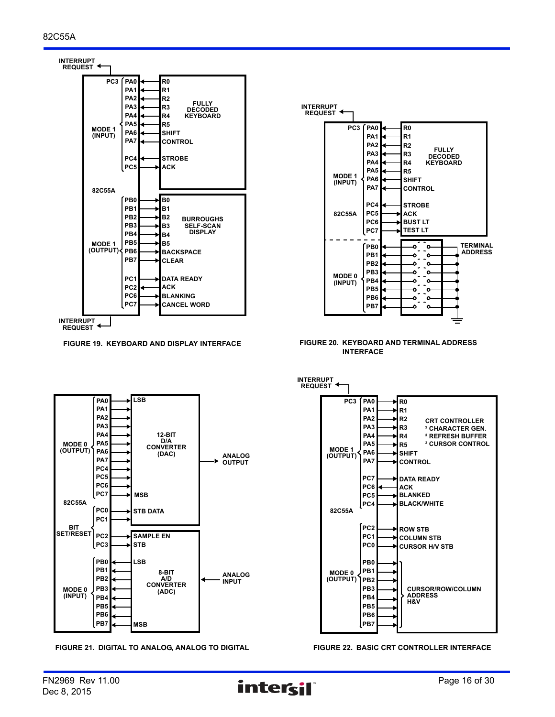



**FIGURE 19. KEYBOARD AND DISPLAY INTERFACE FIGURE 20. KEYBOARD AND TERMINAL ADDRESS INTERFACE**



**FIGURE 21. DIGITAL TO ANALOG, ANALOG TO DIGITAL FIGURE 22. BASIC CRT CONTROLLER INTERFACE**

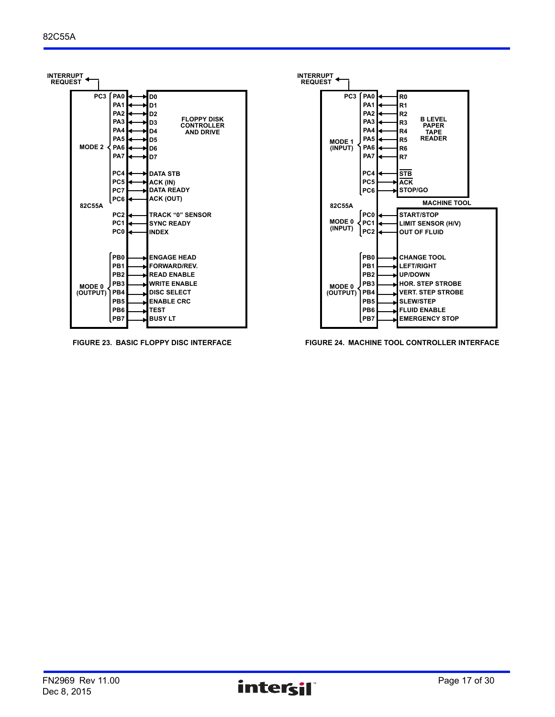



**FIGURE 23. BASIC FLOPPY DISC INTERFACE FIGURE 24. MACHINE TOOL CONTROLLER INTERFACE**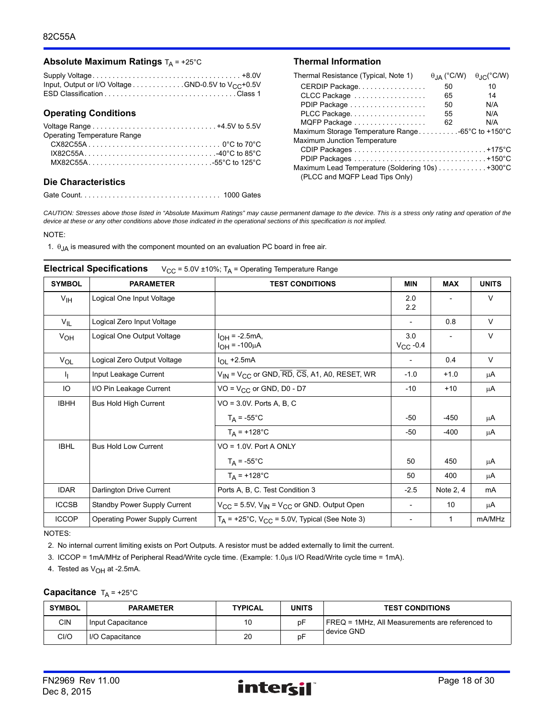#### **Absolute Maximum Ratings**  $T_A = +25^\circ C$  **Thermal Information**

| Input, Output or I/O Voltage GND-0.5V to $V_{CC}$ +0.5V |  |
|---------------------------------------------------------|--|
|                                                         |  |

#### **Operating Conditions**

| Operating Temperature Range |  |
|-----------------------------|--|
|                             |  |
| $IX82C55A$ 40°C to 85°C     |  |
| $MX82C55A$ 55°C to 125°C    |  |
|                             |  |

#### **Die Characteristics**

Gate Count. . . . . . . . . . . . . . . . . . . . . . . . . . . . . . . . . . . 1000 Gates

| Thermal Resistance (Typical, Note 1)             | $\theta$ <sub>JA</sub> (°C/W) | $\theta_{\text{J} \cap}$ (°C/W) |
|--------------------------------------------------|-------------------------------|---------------------------------|
| CERDIP Package                                   | 50                            | 10                              |
| CLCC Package                                     | 65                            | 14                              |
| PDIP Package                                     | 50                            | N/A                             |
| PLCC Package                                     | 55                            | N/A                             |
| MQFP Package                                     | 62                            | N/A                             |
| Maximum Storage Temperature Range-65°C to +150°C |                               |                                 |
| Maximum Junction Temperature                     |                               |                                 |
|                                                  |                               |                                 |
|                                                  |                               |                                 |
|                                                  |                               |                                 |
| (PLCC and MQFP Lead Tips Only)                   |                               |                                 |

*CAUTION: Stresses above those listed in "Absolute Maximum Ratings" may cause permanent damage to the device. This is a stress only rating and operation of the device at these or any other conditions above those indicated in the operational sections of this specification is not implied.*

#### NOTE:

1.  $\theta_{JA}$  is measured with the component mounted on an evaluation PC board in free air.

# SYMBOL **PARAMETER TEST CONDITIONS** MIN MAX UNITS  $V_{\text{IH}}$  | Logical One Input Voltage 2.0 2.2 - V V<sub>IL</sub> Logical Zero Input Voltage  $\vert$  0.8 V  $V_{\text{OH}}$  | Logical One Output Voltage |  $I_{\text{OH}}$  = -2.5mA,  $I_{OH} = -100 \mu A$ 3.0  $V_{CC}$  -0.4 - V V<sub>OL</sub> Logical Zero Output Voltage I<sub>OL</sub> +2.5mA - 0.4 | V I<sub>I</sub> | Input Leakage Current  $|V_{IN} = V_{CC}$  or GND, RD, CS, A1, A0, RESET, WR | -1.0 | +1.0 |  $\mu$ A IO  $\begin{vmatrix} I/O \end{vmatrix}$  Pin Leakage Current  $\begin{vmatrix} VO = VCC \end{vmatrix}$  Or GND,  $DO - D7$   $\begin{vmatrix} -10 & -10 \end{vmatrix}$  +10  $\begin{vmatrix} HAO \end{vmatrix}$ IBHH Bus Hold High Current  $\vert$  VO = 3.0V. Ports A, B, C  $T_A = -55^{\circ}$ C  $\mu A$  $T_A = +128^{\circ}$ C  $\qquad \qquad \begin{array}{c|c} \end{array}$  -50  $\qquad$  -400  $\qquad \qquad$   $\mu$ A IBHL Bus Hold Low Current VO = 1.0V. Port A ONLY  $T_A = -55^{\circ}$ C  $\mu A$  $T_A = +128$ °C  $\vert$  50 400  $\vert$   $\mu$ A IDAR Darlington Drive Current Ports A, B, C. Test Condition 3 -2.5 Note 2, 4 mA ICCSB Standby Power Supply Current  $V_{CC} = 5.5V$ ,  $V_{IN} = V_{CC}$  or GND. Output Open  $\vert$  - 10  $\vert$  µA ICCOP Operating Power Supply Current  $T_A$  = +25°C, V<sub>CC</sub> = 5.0V, Typical (See Note 3)  $\qquad \qquad$  1 mA/MHz

#### **Electrical Specifications** V<sub>CC</sub> = 5.0V ±10%; T<sub>A</sub> = Operating Temperature Range

NOTES:

2. No internal current limiting exists on Port Outputs. A resistor must be added externally to limit the current.

3. ICCOP = 1mA/MHz of Peripheral Read/Write cycle time. (Example: 1.0us I/O Read/Write cycle time = 1mA).

4. Tested as  $V_{OH}$  at -2.5mA.

#### **Capacitance**  $T_A = +25^\circ C$

| <b>SYMBOL</b> | <b>PARAMETER</b>  | <b>TYPICAL</b> |    | <b>TEST CONDITIONS</b>                          |  |  |
|---------------|-------------------|----------------|----|-------------------------------------------------|--|--|
| CIN           | Input Capacitance | 10             | рF | FREQ = 1MHz, All Measurements are referenced to |  |  |
| CI/O          | I/O Capacitance   | 20             | рF | device GND                                      |  |  |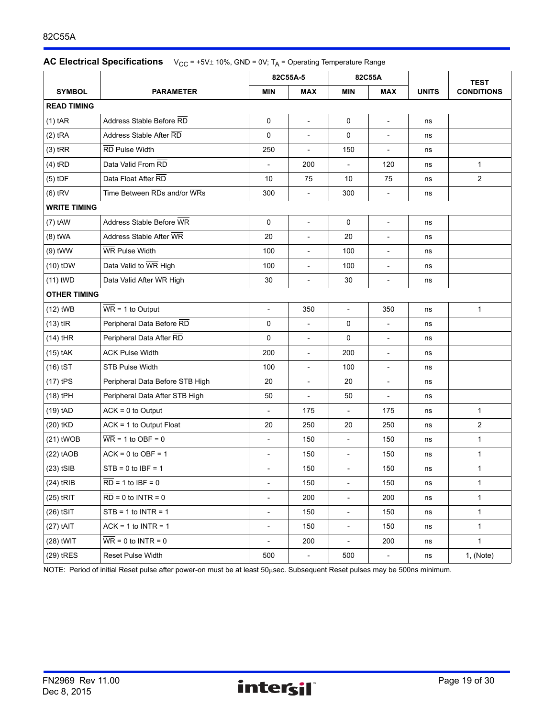### 82C55A

|  | <b>AC Electrical Specifications</b> $V_{CC} = +5V \pm 10\%$ , GND = 0V; T <sub>A</sub> = Operating Temperature Range |
|--|----------------------------------------------------------------------------------------------------------------------|
|--|----------------------------------------------------------------------------------------------------------------------|

|                     |                                       |                          | 82C55A-5                 | 82C55A                   |                          |              | <b>TEST</b>       |
|---------------------|---------------------------------------|--------------------------|--------------------------|--------------------------|--------------------------|--------------|-------------------|
| <b>SYMBOL</b>       | <b>PARAMETER</b>                      | <b>MIN</b>               | <b>MAX</b>               | <b>MIN</b>               | <b>MAX</b>               | <b>UNITS</b> | <b>CONDITIONS</b> |
| <b>READ TIMING</b>  |                                       |                          |                          |                          |                          |              |                   |
| $(1)$ tAR           | Address Stable Before RD              | 0                        | $\overline{\phantom{a}}$ | 0                        | $\blacksquare$           | ns           |                   |
| $(2)$ tRA           | Address Stable After RD               | 0                        |                          | 0                        | $\overline{\phantom{a}}$ | ns           |                   |
| $(3)$ tRR           | RD Pulse Width                        | 250                      | $\overline{\phantom{a}}$ | 150                      | $\overline{\phantom{a}}$ | ns           |                   |
| $(4)$ tRD           | Data Valid From RD                    |                          | 200                      |                          | 120                      | ns           | $\mathbf{1}$      |
| $(5)$ tDF           | Data Float After RD                   | 10                       | 75                       | 10                       | 75                       | ns           | $\overline{2}$    |
| $(6)$ tRV           | Time Between RDs and/or WRs           | 300                      | $\overline{\phantom{a}}$ | 300                      | $\blacksquare$           | ns           |                   |
| <b>WRITE TIMING</b> |                                       |                          |                          |                          |                          |              |                   |
| $(7)$ tAW           | Address Stable Before WR              | $\mathbf 0$              | $\mathcal{L}$            | $\mathbf 0$              | $\overline{\phantom{a}}$ | ns           |                   |
| $(8)$ tWA           | Address Stable After WR               | 20                       | $\blacksquare$           | 20                       | $\overline{\phantom{a}}$ | ns           |                   |
| $(9)$ tWW           | WR Pulse Width                        | 100                      | $\overline{\phantom{a}}$ | 100                      | $\overline{\phantom{a}}$ | ns           |                   |
| $(10)$ tDW          | Data Valid to WR High                 | 100                      | $\overline{\phantom{a}}$ | 100                      | $\overline{\phantom{a}}$ | ns           |                   |
| $(11)$ tWD          | Data Valid After WR High              | 30                       | $\overline{\phantom{a}}$ | 30                       | $\overline{\phantom{a}}$ | ns           |                   |
| <b>OTHER TIMING</b> |                                       |                          |                          |                          |                          |              |                   |
| $(12)$ tWB          | $\overline{WR}$ = 1 to Output         | $\overline{a}$           | 350                      | $\blacksquare$           | 350                      | ns           | $\mathbf{1}$      |
| $(13)$ tlR          | Peripheral Data Before RD             | $\mathbf 0$              | $\overline{\phantom{a}}$ | $\mathbf 0$              | $\overline{\phantom{a}}$ | ns           |                   |
| $(14)$ tHR          | Peripheral Data After RD              | 0                        | $\overline{\phantom{a}}$ | 0                        | $\overline{\phantom{a}}$ | ns           |                   |
| $(15)$ tAK          | <b>ACK Pulse Width</b>                | 200                      | $\overline{\phantom{a}}$ | 200                      | $\overline{\phantom{a}}$ | ns           |                   |
| $(16)$ tST          | <b>STB Pulse Width</b>                | 100                      | $\overline{\phantom{a}}$ | 100                      | $\blacksquare$           | ns           |                   |
| $(17)$ tPS          | Peripheral Data Before STB High       | 20                       | $\overline{\phantom{a}}$ | 20                       | $\overline{\phantom{a}}$ | ns           |                   |
| (18) tPH            | Peripheral Data After STB High        | 50                       |                          | 50                       | $\overline{\phantom{0}}$ | ns           |                   |
| $(19)$ tAD          | $ACK = 0$ to Output                   | $\blacksquare$           | 175                      | $\overline{\phantom{a}}$ | 175                      | ns           | $\mathbf{1}$      |
| (20) tKD            | $ACK = 1$ to Output Float             | 20                       | 250                      | 20                       | 250                      | ns           | $\overline{2}$    |
| $(21)$ tWOB         | $\overline{\text{WR}}$ = 1 to OBF = 0 | $\overline{\phantom{a}}$ | 150                      | $\overline{\phantom{a}}$ | 150                      | ns           | 1                 |
| $(22)$ tAOB         | $ACK = 0$ to $OBF = 1$                | $\overline{\phantom{a}}$ | 150                      | $\overline{\phantom{a}}$ | 150                      | ns           | $\mathbf{1}$      |
| $(23)$ tSIB         | $STB = 0$ to $IBF = 1$                |                          | 150                      |                          | 150                      | ns           | $\mathbf{1}$      |
| $(24)$ tRIB         | $RD = 1$ to $IBF = 0$                 | $\overline{\phantom{a}}$ | 150                      | $\overline{\phantom{a}}$ | 150                      | ns           | $\mathbf{1}$      |
| $(25)$ tRIT         | $RD = 0$ to $INTER = 0$               | $\overline{\phantom{a}}$ | 200                      | $\overline{\phantom{a}}$ | 200                      | ns           | $\mathbf{1}$      |
| $(26)$ tSIT         | $STB = 1$ to INTR = 1                 | $\overline{\phantom{a}}$ | 150                      | $\overline{\phantom{a}}$ | 150                      | ns           | $\mathbf{1}$      |
| $(27)$ tAIT         | $ACK = 1$ to INTR = 1                 | $\overline{\phantom{a}}$ | 150                      | $\overline{\phantom{a}}$ | 150                      | ns           | $\mathbf{1}$      |
| $(28)$ tWIT         | $WR = 0$ to INTR = 0                  | $\overline{\phantom{a}}$ | 200                      | $\overline{\phantom{a}}$ | 200                      | ns           | $\mathbf{1}$      |
| (29) tRES           | <b>Reset Pulse Width</b>              | 500                      | $\overline{\phantom{a}}$ | 500                      | $\overline{\phantom{a}}$ | ns           | 1, (Note)         |

NOTE: Period of initial Reset pulse after power-on must be at least 50usec. Subsequent Reset pulses may be 500ns minimum.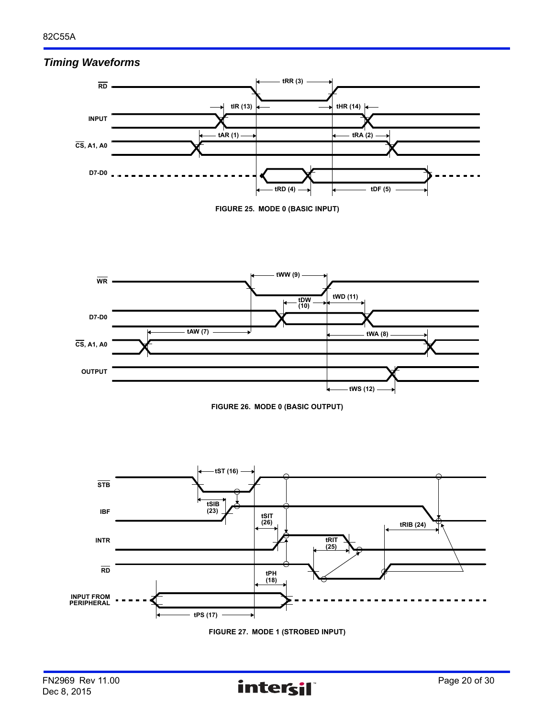# *Timing Waveforms*











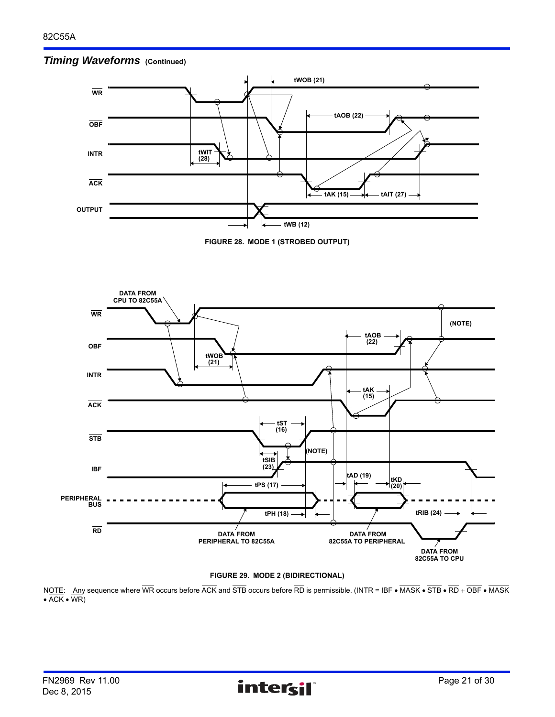





NOTE: Any sequence where  $\overline{\text{WR}}$  occurs before  $\overline{\text{ACK}}$  and  $\overline{\text{STE}}$  occurs before  $\overline{\text{RD}}$  is permissible. (INTR = IBF  $\bullet$   $\overline{\text{MASK}}$   $\bullet$   $\overline{\text{STB}}$   $\bullet$   $\overline{\text{RDD}}$  +  $\overline{\text{OBF}}$   $\bullet$   $\overline{\text{MASK}}$  $\bullet$  ACK  $\bullet$  WR)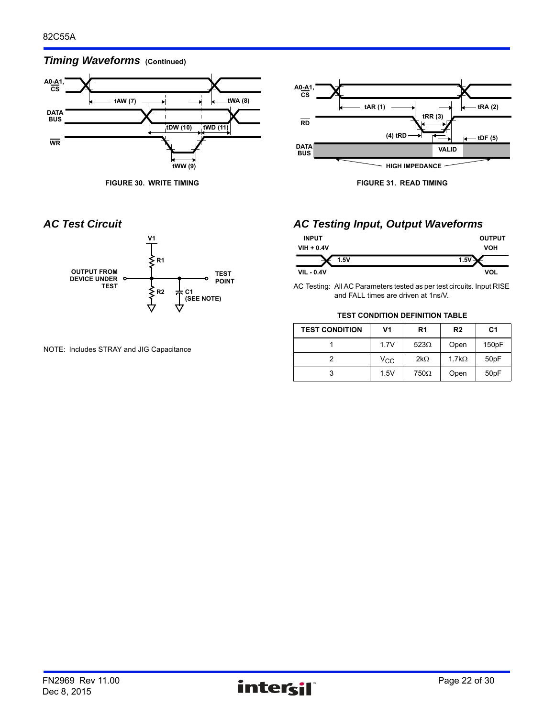# *Timing Waveforms* (Continued)



**FIGURE 30. WRITE TIMING FIGURE 31. READ TIMING**





NOTE: Includes STRAY and JIG Capacitance

# *AC Test Circuit AC Testing Input, Output Waveforms*

| <b>INPUT</b>      | <b>OUTPUT</b> |
|-------------------|---------------|
| $VIH + 0.4V$      | <b>VOH</b>    |
| 1.5V              | $1.5\%$       |
| <b>VIL - 0.4V</b> | VOL           |

AC Testing: All AC Parameters tested as per test circuits. Input RISE and FALL times are driven at 1ns/V.

#### **TEST CONDITION DEFINITION TABLE**

| <b>TEST CONDITION</b> | V1           | R <sub>1</sub> | R <sub>2</sub> | C <sub>1</sub> |
|-----------------------|--------------|----------------|----------------|----------------|
|                       | 1.7V         | $523\Omega$    | Open           | 150pF          |
|                       | $V_{\rm CC}$ | $2k\Omega$     | $1.7k\Omega$   | 50pF           |
| 3                     | 1.5V         | $750\Omega$    | Open           | 50pF           |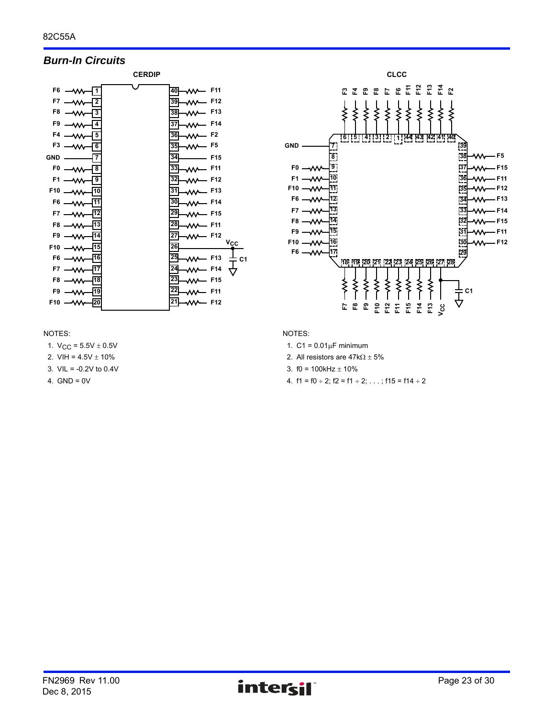# *Burn-In Circuits*





#### NOTES:

1.  $V_{CC}$  = 5.5V  $\pm$  0.5V

- 2. VIH =  $4.5V \pm 10\%$
- 3. VIL = -0.2V to 0.4V
- 4.  $GND = 0V$

- 1.  $C1 = 0.01 \mu F$  minimum
- 2. All resistors are  $47k\Omega \pm 5\%$
- 3.  $f0 = 100k$ Hz  $\pm 10\%$
- 4.  $f1 = f0 \div 2$ ;  $f2 = f1 \div 2$ ; ...;  $f15 = f14 \div 2$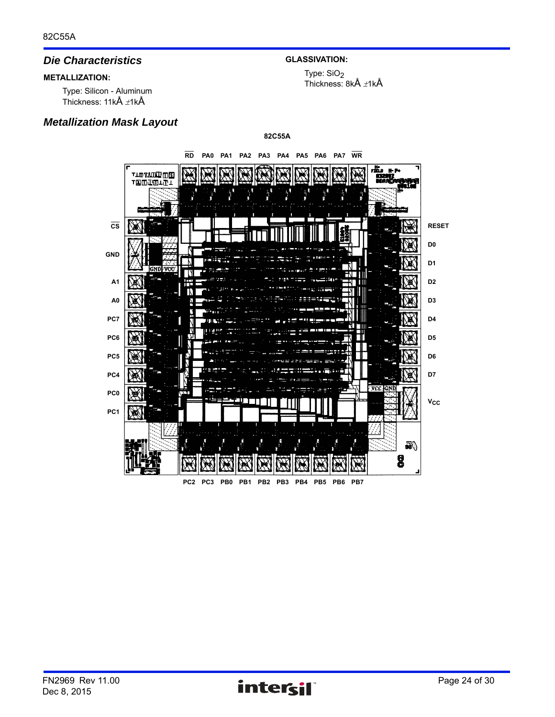# *Die Characteristics*

# **METALLIZATION:**

Type: Silicon - Aluminum Thickness:  $11k\text{\AA}$   $\pm 1k\text{\AA}$ 

# *Metallization Mask Layout*

# **GLASSIVATION:**

Type: SiO<sub>2</sub> Thickness:  $8k\text{\AA}$   $\pm 1k\text{\AA}$ 

**82C55A RD PA0 PA1 PA2 PA3 PA4 PA5 PA6 PA7 WR** æ. TIOTANDONG<br>TOODELTI **RESET CS D0 GND D1 NDLAN A1D2 A0 D3 PC7 D4 PC6 D5 PC5 D6 D7 PC4** VCC. GN ж, **PC0**  $v_{cc}$ **PC1** 50 8

**PC2 PC3 PB0 PB1 PB2 PB3 PB4 PB5 PB6 PB7**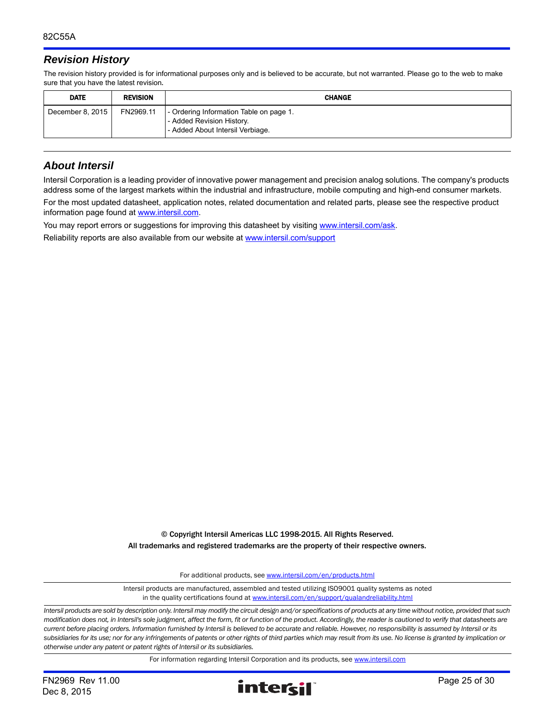# *Revision History*

The revision history provided is for informational purposes only and is believed to be accurate, but not warranted. Please go to the web to make sure that you have the latest revision.

| <b>DATE</b>      | <b>REVISION</b> | <b>CHANGE</b>                                                                                            |
|------------------|-----------------|----------------------------------------------------------------------------------------------------------|
| December 8, 2015 | FN2969.11       | - Ordering Information Table on page 1.<br>- Added Revision History.<br>- Added About Intersil Verbiage. |

# *About Intersil*

Intersil Corporation is a leading provider of innovative power management and precision analog solutions. The company's products address some of the largest markets within the industrial and infrastructure, mobile computing and high-end consumer markets.

For the most updated datasheet, application notes, related documentation and related parts, please see the respective product information page found at<www.intersil.com>.

You may report errors or suggestions for improving this datasheet by visiting [www.intersil.com/ask](http://www.intersil.com/en/support.html?OrganizationID=784358&p=createnewticket&p_href=http%3A%2F%2Fwww.intersil.com%2Fen%2Fsupport.html).

Reliability reports are also available from our website at [www.intersil.com/support](http://www.intersil.com/en/support/qualandreliability.html#reliability)

© Copyright Intersil Americas LLC 1998-2015. All Rights Reserved. All trademarks and registered trademarks are the property of their respective owners.

For additional products, see [www.intersil.com/en/products.html](http://www.intersil.com/en/products.html?utm_source=Intersil&utm_medium=datasheet&utm_campaign=disclaimer-ds-footer)

[Intersil products are manufactured, assembled and tested utilizing ISO9001 quality systems as noted](http://www.intersil.com/en/products.html?utm_source=Intersil&utm_medium=datasheet&utm_campaign=disclaimer-ds-footer) in the quality certifications found at [www.intersil.com/en/support/qualandreliability.html](http://www.intersil.com/en/support/qualandreliability.html?utm_source=Intersil&utm_medium=datasheet&utm_campaign=disclaimer-ds-footer)

*Intersil products are sold by description only. Intersil may modify the circuit design and/or specifications of products at any time without notice, provided that such modification does not, in Intersil's sole judgment, affect the form, fit or function of the product. Accordingly, the reader is cautioned to verify that datasheets are current before placing orders. Information furnished by Intersil is believed to be accurate and reliable. However, no responsibility is assumed by Intersil or its subsidiaries for its use; nor for any infringements of patents or other rights of third parties which may result from its use. No license is granted by implication or otherwise under any patent or patent rights of Intersil or its subsidiaries.*

For information regarding Intersil Corporation and its products, see [www.intersil.com](http://www.intersil.com?utm_source=intersil&utm_medium=datasheet&utm_campaign=disclaimer-ds-footer)

Dec 8, 2015

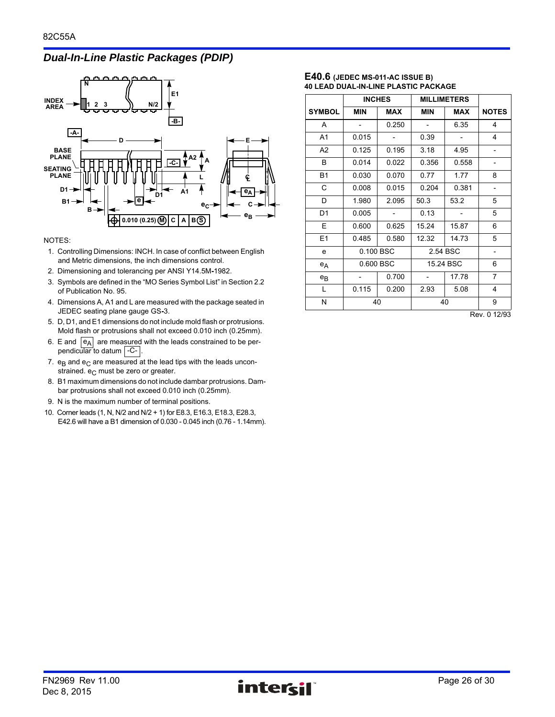# *Dual-In-Line Plastic Packages (PDIP)*



#### NOTES:

- 1. Controlling Dimensions: INCH. In case of conflict between English and Metric dimensions, the inch dimensions control.
- 2. Dimensioning and tolerancing per ANSI Y14.5M**-**1982.
- 3. Symbols are defined in the "MO Series Symbol List" in Section 2.2 of Publication No. 95.
- 4. Dimensions A, A1 and L are measured with the package seated in JEDEC seating plane gauge GS**-**3.
- 5. D, D1, and E1 dimensions do not include mold flash or protrusions. Mold flash or protrusions shall not exceed 0.010 inch (0.25mm).
- 6. E and  $|e_A|$  are measured with the leads constrained to be perpendicular to datum | -C- |.
- 7.  $e_B$  and  $e_C$  are measured at the lead tips with the leads unconstrained.  $e_C$  must be zero or greater.
- 8. B1 maximum dimensions do not include dambar protrusions. Dambar protrusions shall not exceed 0.010 inch (0.25mm).
- 9. N is the maximum number of terminal positions.
- 10. Corner leads (1, N, N/2 and N/2 + 1) for E8.3, E16.3, E18.3, E28.3, E42.6 will have a B1 dimension of 0.030 - 0.045 inch (0.76 - 1.14mm).

#### **E40.6 (JEDEC MS-011-AC ISSUE B) 40 LEAD DUAL-IN-LINE PLASTIC PACKAGE**

|                | <b>INCHES</b> |            | <b>MILLIMETERS</b> |            |                   |
|----------------|---------------|------------|--------------------|------------|-------------------|
| <b>SYMBOL</b>  | <b>MIN</b>    | <b>MAX</b> | <b>MIN</b>         | <b>MAX</b> | <b>NOTES</b>      |
| A              |               | 0.250      |                    | 6.35       | 4                 |
| A1             | 0.015         |            | 0.39               |            | 4                 |
| A <sub>2</sub> | 0.125         | 0.195      | 3.18               | 4.95       |                   |
| B              | 0.014         | 0.022      | 0.356              | 0.558      |                   |
| <b>B1</b>      | 0.030         | 0.070      | 0.77               | 1.77       | 8                 |
| C              | 0.008         | 0.015      | 0.204              | 0.381      | $\qquad \qquad -$ |
| D              | 1.980         | 2.095      | 50.3               | 53.2       | 5                 |
| D1             | 0.005         |            | 0.13               |            | 5                 |
| Е              | 0.600         | 0.625      | 15.24              | 15.87      | 6                 |
| E1             | 0.485         | 0.580      | 12.32              | 14.73      | 5                 |
| e              | 0.100 BSC     |            |                    | 2.54 BSC   | $\qquad \qquad -$ |
| $e_A$          | 0.600 BSC     |            |                    | 15.24 BSC  | 6                 |
| $e_{B}$        |               | 0.700      |                    | 17.78      | 7                 |
| L              | 0.115         | 0.200      | 2.93               | 5.08       | 4                 |
| N              | 40            |            |                    | 40         | 9                 |

Rev. 0 12/93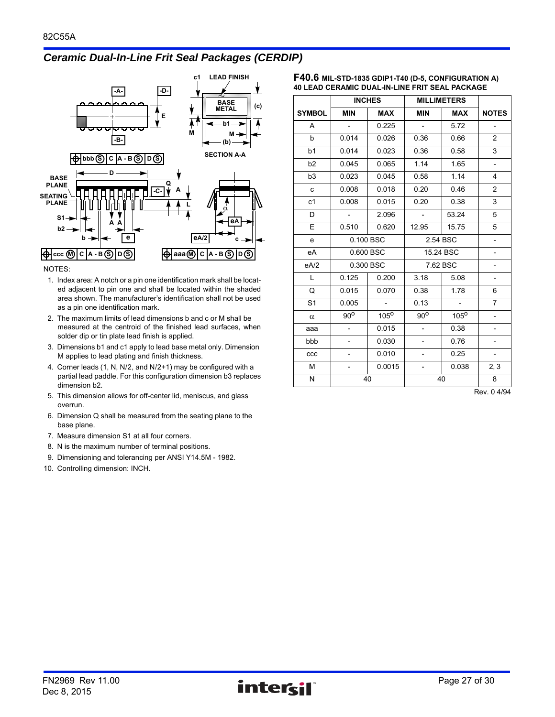# *Ceramic Dual-In-Line Frit Seal Packages (CERDIP)*



NOTES:

- 1. Index area: A notch or a pin one identification mark shall be located adjacent to pin one and shall be located within the shaded area shown. The manufacturer's identification shall not be used as a pin one identification mark.
- 2. The maximum limits of lead dimensions b and c or M shall be measured at the centroid of the finished lead surfaces, when solder dip or tin plate lead finish is applied.
- 3. Dimensions b1 and c1 apply to lead base metal only. Dimension M applies to lead plating and finish thickness.
- 4. Corner leads (1, N, N/2, and N/2+1) may be configured with a partial lead paddle. For this configuration dimension b3 replaces dimension b2.
- 5. This dimension allows for off-center lid, meniscus, and glass overrun.
- 6. Dimension Q shall be measured from the seating plane to the base plane.
- 7. Measure dimension S1 at all four corners.
- 8. N is the maximum number of terminal positions.
- 9. Dimensioning and tolerancing per ANSI Y14.5M 1982.
- 10. Controlling dimension: INCH.

| F40.6 MIL-STD-1835 GDIP1-T40 (D-5, CONFIGURATION A)   |  |
|-------------------------------------------------------|--|
| <b>40 LEAD CERAMIC DUAL-IN-LINE FRIT SEAL PACKAGE</b> |  |

|                | <b>INCHES</b>            |             | <b>MILLIMETERS</b>       |                  |                          |
|----------------|--------------------------|-------------|--------------------------|------------------|--------------------------|
| <b>SYMBOL</b>  | <b>MIN</b>               | <b>MAX</b>  | <b>MIN</b>               | <b>MAX</b>       | <b>NOTES</b>             |
| A              | $\overline{\phantom{a}}$ | 0.225       | $\overline{\phantom{a}}$ | 5.72             | $\overline{\phantom{0}}$ |
| $\mathsf b$    | 0.014                    | 0.026       | 0.36                     | 0.66             | 2                        |
| b <sub>1</sub> | 0.014                    | 0.023       | 0.36                     | 0.58             | 3                        |
| b2             | 0.045                    | 0.065       | 1.14                     | 1.65             | $\overline{\phantom{0}}$ |
| b <sub>3</sub> | 0.023                    | 0.045       | 0.58                     | 1.14             | 4                        |
| $\mathbf{C}$   | 0.008                    | 0.018       | 0.20                     | 0.46             | $\overline{2}$           |
| c1             | 0.008                    | 0.015       | 0.20                     | 0.38             | 3                        |
| D              | $\overline{\phantom{a}}$ | 2.096       | $\overline{\phantom{a}}$ | 53.24            | 5                        |
| E              | 0.510                    | 0.620       | 12.95                    | 15.75            | 5                        |
| e              | 0.100 BSC                |             | 2.54 BSC                 |                  |                          |
| eA             | 0.600 BSC                |             |                          | 15.24 BSC        |                          |
| eA/2           |                          | 0.300 BSC   | 7.62 BSC                 |                  | $\overline{\phantom{0}}$ |
| L              | 0.125                    | 0.200       | 3.18                     | 5.08             |                          |
| Q              | 0.015                    | 0.070       | 0.38                     | 1.78             | 6                        |
| S <sub>1</sub> | 0.005                    |             | 0.13                     |                  | $\overline{7}$           |
| $\alpha$       | $90^{\circ}$             | $105^\circ$ | $90^{\circ}$             | 105 <sup>o</sup> |                          |
| aaa            | $\overline{\phantom{0}}$ | 0.015       | $\overline{\phantom{a}}$ | 0.38             | $\overline{\phantom{0}}$ |
| bbb            | -                        | 0.030       |                          | 0.76             |                          |
| ccc            | $\overline{\phantom{0}}$ | 0.010       |                          | 0.25             | $\overline{\phantom{0}}$ |
| M              |                          | 0.0015      | $\overline{\phantom{a}}$ | 0.038            | 2, 3                     |
| N              | 40                       |             |                          | 40               | 8                        |

Rev. 0 4/94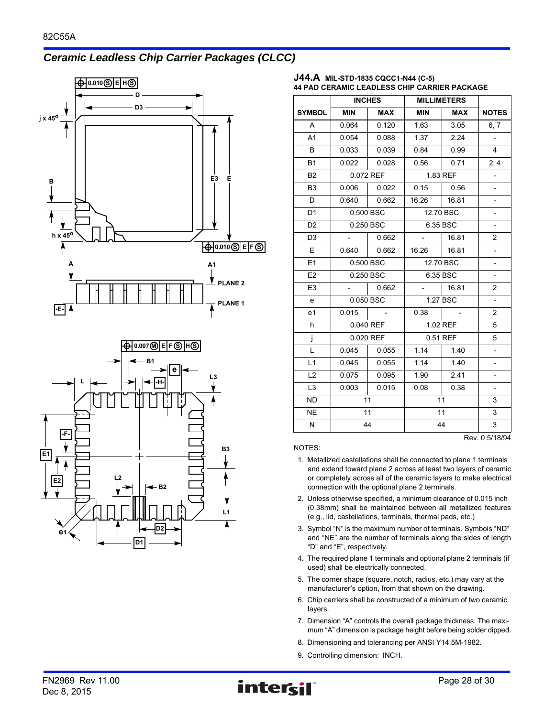# *Ceramic Leadless Chip Carrier Packages (CLCC)*



#### **J44.A MIL-STD-1835 CQCC1-N44 (C-5) 44 PAD CERAMIC LEADLESS CHIP CARRIER PACKAGE**

|                |                     | <b>INCHES</b><br><b>MILLIMETERS</b> |                  |           |                          |
|----------------|---------------------|-------------------------------------|------------------|-----------|--------------------------|
| <b>SYMBOL</b>  | <b>MIN</b>          | <b>MAX</b>                          | <b>MIN</b>       | MAX       | <b>NOTES</b>             |
| A              | 0.064               | 0.120                               | 1.63             | 3.05      | 6, 7                     |
| A1             | 0.054               | 0.088                               | 1.37             | 2.24      |                          |
| B              | 0.033               | 0.039                               | 0.84             | 0.99      | $\overline{4}$           |
| <b>B1</b>      | 0.022               | 0.028                               | 0.56             | 0.71      | 2,4                      |
| B <sub>2</sub> |                     | 0.072 REF                           | 1.83 REF         |           |                          |
| B <sub>3</sub> | 0.006               | 0.022                               | 0.15             | 0.56      | $\overline{\phantom{0}}$ |
| D              | 0.640               | 0.662                               | 16.26   16.81    |           |                          |
| D <sub>1</sub> |                     | 0.500 BSC                           |                  | 12.70 BSC |                          |
| D <sub>2</sub> |                     | 0.250 BSC                           |                  | 6.35 BSC  | $\overline{\phantom{0}}$ |
| D <sub>3</sub> | $\omega_{\rm{max}}$ | 0.662                               |                  | 16.81     | 2                        |
| E              | 0.640               | 0.662                               | 16.26            | 16.81     | $\overline{\phantom{0}}$ |
| E1             | 0.500 BSC           |                                     |                  | 12.70 BSC | $\overline{\phantom{0}}$ |
| E <sub>2</sub> | 0.250 BSC           |                                     | 6.35 BSC         |           | $\overline{\phantom{0}}$ |
| E <sub>3</sub> | $\sim$              | 0.662                               | $\sim$ 100 $\pm$ | 16.81     | 2                        |
| e              | 0.050 BSC           |                                     |                  | 1.27 BSC  | $\overline{a}$           |
| e1             | 0.015               |                                     | 0.38             |           | $\overline{c}$           |
| h              |                     | 0.040 REF                           |                  | 1.02 REF  | 5                        |
| j              |                     | 0.020 REF                           |                  | 0.51 REF  | 5                        |
| L              | 0.045               | 0.055                               | 1.14             | 1.40      | $\overline{\phantom{0}}$ |
| L1             | 0.045               | 0.055                               | 1.14             | 1.40      | $\overline{\phantom{0}}$ |
| L2             | 0.075               | 0.095                               | 1.90             | 2.41      |                          |
| L <sub>3</sub> | 0.003               | 0.015                               | 0.08             | 0.38      |                          |
| <b>ND</b>      | 11                  |                                     |                  | 11        | 3                        |
| <b>NE</b>      | 11                  |                                     |                  | 11        | 3                        |
| N              | 44                  |                                     |                  | 44        | 3                        |
|                |                     |                                     |                  |           | Rev. 0 5/18/94           |

- 1. Metallized castellations shall be connected to plane 1 terminals and extend toward plane 2 across at least two layers of ceramic or completely across all of the ceramic layers to make electrical connection with the optional plane 2 terminals.
- 2. Unless otherwise specified, a minimum clearance of 0.015 inch (0.38mm) shall be maintained between all metallized features (e.g., lid, castellations, terminals, thermal pads, etc.)
- 3. Symbol "N" is the maximum number of terminals. Symbols "ND" and "NE" are the number of terminals along the sides of length "D" and "E", respectively.
- 4. The required plane 1 terminals and optional plane 2 terminals (if used) shall be electrically connected.
- 5. The corner shape (square, notch, radius, etc.) may vary at the manufacturer's option, from that shown on the drawing.
- 6. Chip carriers shall be constructed of a minimum of two ceramic layers.
- 7. Dimension "A" controls the overall package thickness. The maximum "A" dimension is package height before being solder dipped.
- 8. Dimensioning and tolerancing per ANSI Y14.5M-1982.
- 9. Controlling dimension: INCH.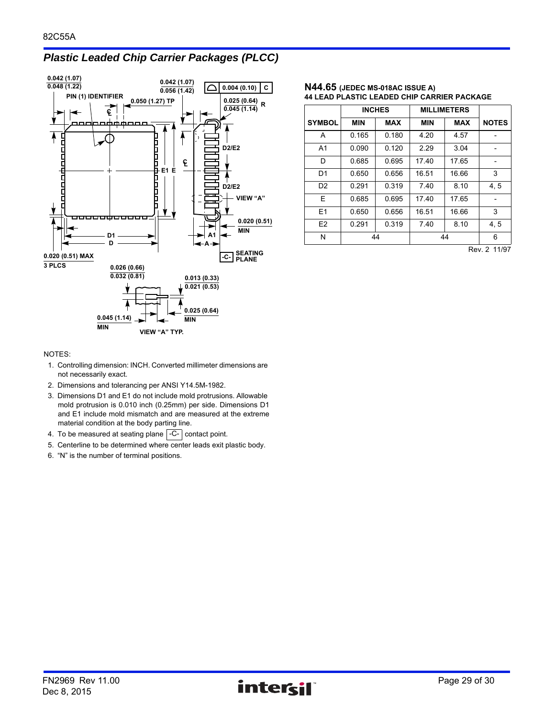# *Plastic Leaded Chip Carrier Packages (PLCC)*



#### **N44.65 (JEDEC MS-018AC ISSUE A) 44 LEAD PLASTIC LEADED CHIP CARRIER PACKAGE**

|                | <b>INCHES</b> |            | <b>MILLIMETERS</b> |            |              |
|----------------|---------------|------------|--------------------|------------|--------------|
| <b>SYMBOL</b>  | <b>MIN</b>    | <b>MAX</b> | <b>MIN</b>         | <b>MAX</b> | <b>NOTES</b> |
| А              | 0.165         | 0.180      | 4.20               | 4.57       |              |
| A <sub>1</sub> | 0.090         | 0.120      | 2.29               | 3.04       |              |
| D              | 0.685         | 0.695      | 17.40              | 17.65      |              |
| D <sub>1</sub> | 0.650         | 0.656      | 16.51              | 16.66      | 3            |
| D <sub>2</sub> | 0.291         | 0.319      | 7.40               | 8.10       | 4, 5         |
| E              | 0.685         | 0.695      | 17.40              | 17.65      |              |
| E1             | 0.650         | 0.656      | 16.51              | 16.66      | 3            |
| E <sub>2</sub> | 0.291         | 0.319      | 7.40               | 8.10       | 4, 5         |
| Ν              |               | 44         |                    | 44         | 6            |

Rev. 2 11/97

- 1. Controlling dimension: INCH. Converted millimeter dimensions are not necessarily exact.
- 2. Dimensions and tolerancing per ANSI Y14.5M-1982.
- 3. Dimensions D1 and E1 do not include mold protrusions. Allowable mold protrusion is 0.010 inch (0.25mm) per side. Dimensions D1 and E1 include mold mismatch and are measured at the extreme material condition at the body parting line.
- 4. To be measured at seating plane  $\lfloor$ -C- $\rfloor$  contact point.
- 5. Centerline to be determined where center leads exit plastic body.
- 6. "N" is the number of terminal positions.